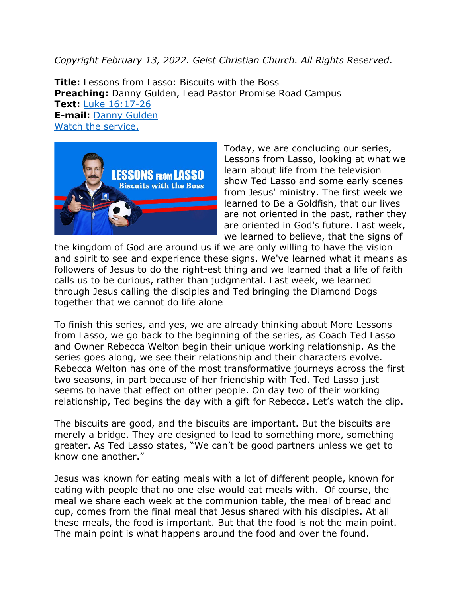## *Copyright February 13, 2022. Geist Christian Church. All Rights Reserved*.

**Title:** Lessons from Lasso: Biscuits with the Boss **Preaching:** Danny Gulden, Lead Pastor Promise Road Campus **Text:** [Luke 16:17-26](https://www.biblegateway.com/passage/?search=Luke+16%3A17-26&version=CEB) **E-mail:** [Danny Gulden](mailto:danny.gulden@geistchristian.org) [Watch the service.](https://youtu.be/c1Fr7w7CxhU)



Today, we are concluding our series, Lessons from Lasso, looking at what we learn about life from the television show Ted Lasso and some early scenes from Jesus' ministry. The first week we learned to Be a Goldfish, that our lives are not oriented in the past, rather they are oriented in God's future. Last week, we learned to believe, that the signs of

the kingdom of God are around us if we are only willing to have the vision and spirit to see and experience these signs. We've learned what it means as followers of Jesus to do the right-est thing and we learned that a life of faith calls us to be curious, rather than judgmental. Last week, we learned through Jesus calling the disciples and Ted bringing the Diamond Dogs together that we cannot do life alone

To finish this series, and yes, we are already thinking about More Lessons from Lasso, we go back to the beginning of the series, as Coach Ted Lasso and Owner Rebecca Welton begin their unique working relationship. As the series goes along, we see their relationship and their characters evolve. Rebecca Welton has one of the most transformative journeys across the first two seasons, in part because of her friendship with Ted. Ted Lasso just seems to have that effect on other people. On day two of their working relationship, Ted begins the day with a gift for Rebecca. Let's watch the clip.

The biscuits are good, and the biscuits are important. But the biscuits are merely a bridge. They are designed to lead to something more, something greater. As Ted Lasso states, "We can't be good partners unless we get to know one another."

Jesus was known for eating meals with a lot of different people, known for eating with people that no one else would eat meals with. Of course, the meal we share each week at the communion table, the meal of bread and cup, comes from the final meal that Jesus shared with his disciples. At all these meals, the food is important. But that the food is not the main point. The main point is what happens around the food and over the found.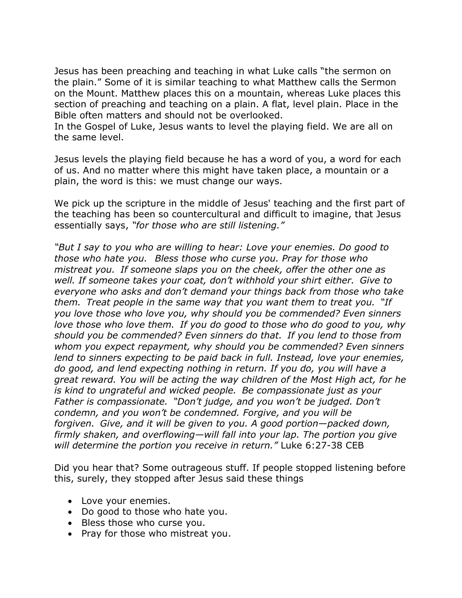Jesus has been preaching and teaching in what Luke calls "the sermon on the plain." Some of it is similar teaching to what Matthew calls the Sermon on the Mount. Matthew places this on a mountain, whereas Luke places this section of preaching and teaching on a plain. A flat, level plain. Place in the Bible often matters and should not be overlooked.

In the Gospel of Luke, Jesus wants to level the playing field. We are all on the same level.

Jesus levels the playing field because he has a word of you, a word for each of us. And no matter where this might have taken place, a mountain or a plain, the word is this: we must change our ways.

We pick up the scripture in the middle of Jesus' teaching and the first part of the teaching has been so countercultural and difficult to imagine, that Jesus essentially says, *"for those who are still listening."*

*"But I say to you who are willing to hear: Love your enemies. Do good to those who hate you. Bless those who curse you. Pray for those who mistreat you. If someone slaps you on the cheek, offer the other one as well. If someone takes your coat, don't withhold your shirt either. Give to everyone who asks and don't demand your things back from those who take them. Treat people in the same way that you want them to treat you. "If you love those who love you, why should you be commended? Even sinners love those who love them. If you do good to those who do good to you, why should you be commended? Even sinners do that. If you lend to those from whom you expect repayment, why should you be commended? Even sinners lend to sinners expecting to be paid back in full. Instead, love your enemies, do good, and lend expecting nothing in return. If you do, you will have a great reward. You will be acting the way children of the Most High act, for he is kind to ungrateful and wicked people. Be compassionate just as your Father is compassionate. "Don't judge, and you won't be judged. Don't condemn, and you won't be condemned. Forgive, and you will be forgiven. Give, and it will be given to you. A good portion—packed down, firmly shaken, and overflowing—will fall into your lap. The portion you give will determine the portion you receive in return."* Luke 6:27-38 CEB

Did you hear that? Some outrageous stuff. If people stopped listening before this, surely, they stopped after Jesus said these things

- Love your enemies.
- Do good to those who hate you.
- Bless those who curse you.
- Pray for those who mistreat you.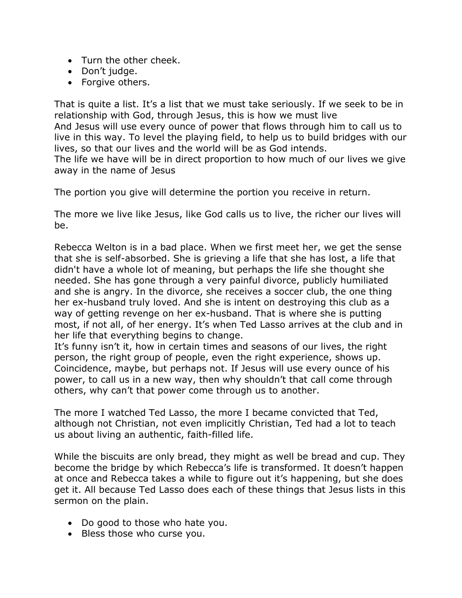- Turn the other cheek.
- Don't judge.
- Forgive others.

That is quite a list. It's a list that we must take seriously. If we seek to be in relationship with God, through Jesus, this is how we must live And Jesus will use every ounce of power that flows through him to call us to live in this way. To level the playing field, to help us to build bridges with our lives, so that our lives and the world will be as God intends. The life we have will be in direct proportion to how much of our lives we give away in the name of Jesus

The portion you give will determine the portion you receive in return.

The more we live like Jesus, like God calls us to live, the richer our lives will be.

Rebecca Welton is in a bad place. When we first meet her, we get the sense that she is self-absorbed. She is grieving a life that she has lost, a life that didn't have a whole lot of meaning, but perhaps the life she thought she needed. She has gone through a very painful divorce, publicly humiliated and she is angry. In the divorce, she receives a soccer club, the one thing her ex-husband truly loved. And she is intent on destroying this club as a way of getting revenge on her ex-husband. That is where she is putting most, if not all, of her energy. It's when Ted Lasso arrives at the club and in her life that everything begins to change.

It's funny isn't it, how in certain times and seasons of our lives, the right person, the right group of people, even the right experience, shows up. Coincidence, maybe, but perhaps not. If Jesus will use every ounce of his power, to call us in a new way, then why shouldn't that call come through others, why can't that power come through us to another.

The more I watched Ted Lasso, the more I became convicted that Ted, although not Christian, not even implicitly Christian, Ted had a lot to teach us about living an authentic, faith-filled life.

While the biscuits are only bread, they might as well be bread and cup. They become the bridge by which Rebecca's life is transformed. It doesn't happen at once and Rebecca takes a while to figure out it's happening, but she does get it. All because Ted Lasso does each of these things that Jesus lists in this sermon on the plain.

- Do good to those who hate you.
- Bless those who curse you.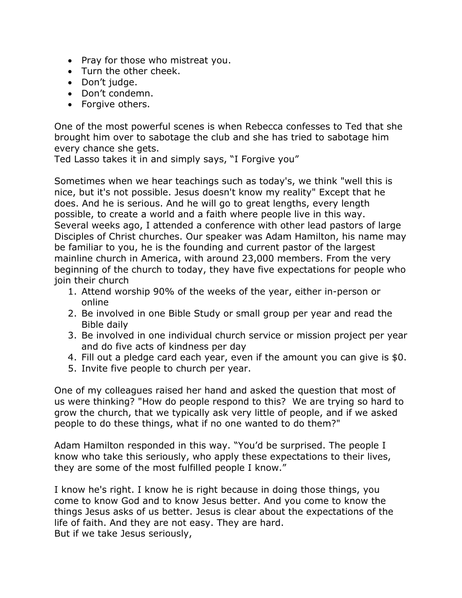- Pray for those who mistreat you.
- Turn the other cheek.
- Don't judge.
- Don't condemn.
- Forgive others.

One of the most powerful scenes is when Rebecca confesses to Ted that she brought him over to sabotage the club and she has tried to sabotage him every chance she gets.

Ted Lasso takes it in and simply says, "I Forgive you"

Sometimes when we hear teachings such as today's, we think "well this is nice, but it's not possible. Jesus doesn't know my reality" Except that he does. And he is serious. And he will go to great lengths, every length possible, to create a world and a faith where people live in this way. Several weeks ago, I attended a conference with other lead pastors of large Disciples of Christ churches. Our speaker was Adam Hamilton, his name may be familiar to you, he is the founding and current pastor of the largest mainline church in America, with around 23,000 members. From the very beginning of the church to today, they have five expectations for people who join their church

- 1. Attend worship 90% of the weeks of the year, either in-person or online
- 2. Be involved in one Bible Study or small group per year and read the Bible daily
- 3. Be involved in one individual church service or mission project per year and do five acts of kindness per day
- 4. Fill out a pledge card each year, even if the amount you can give is \$0.
- 5. Invite five people to church per year.

One of my colleagues raised her hand and asked the question that most of us were thinking? "How do people respond to this? We are trying so hard to grow the church, that we typically ask very little of people, and if we asked people to do these things, what if no one wanted to do them?"

Adam Hamilton responded in this way. "You'd be surprised. The people I know who take this seriously, who apply these expectations to their lives, they are some of the most fulfilled people I know."

I know he's right. I know he is right because in doing those things, you come to know God and to know Jesus better. And you come to know the things Jesus asks of us better. Jesus is clear about the expectations of the life of faith. And they are not easy. They are hard. But if we take Jesus seriously,